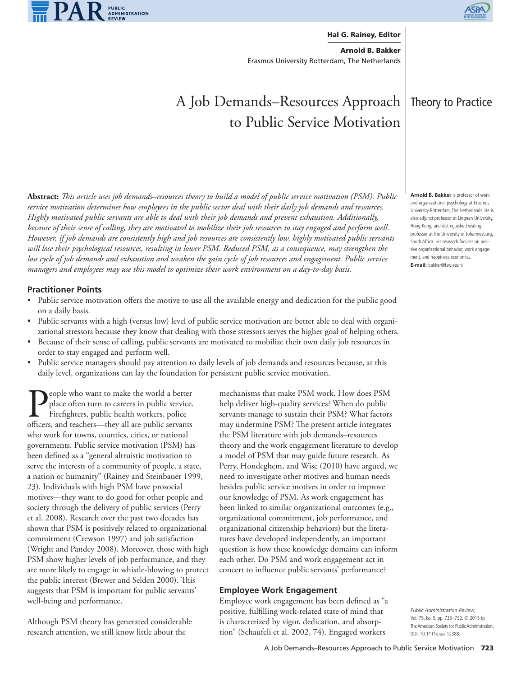



## **Hal G. Rainey, Editor**

**Arnold B. Bakker** Erasmus University Rotterdam, The Netherlands

# A Job Demands–Resources Approach to Public Service Motivation

**Abstract:** *Th is article uses job demands–resources theory to build a model of public service motivation (PSM). Public service motivation determines how employees in the public sector deal with their daily job demands and resources. Highly motivated public servants are able to deal with their job demands and prevent exhaustion. Additionally, because of their sense of calling, they are motivated to mobilize their job resources to stay engaged and perform well. However, if job demands are consistently high and job resources are consistently low, highly motivated public servants will lose their psychological resources, resulting in lower PSM. Reduced PSM, as a consequence, may strengthen the loss cycle of job demands and exhaustion and weaken the gain cycle of job resources and engagement. Public service managers and employees may use this model to optimize their work environment on a day-to-day basis.*

# **Practitioner Points**

- Public service motivation offers the motive to use all the available energy and dedication for the public good on a daily basis.
- Public servants with a high (versus low) level of public service motivation are better able to deal with organizational stressors because they know that dealing with those stressors serves the higher goal of helping others.
- Because of their sense of calling, public servants are motivated to mobilize their own daily job resources in order to stay engaged and perform well.
- Public service managers should pay attention to daily levels of job demands and resources because, at this daily level, organizations can lay the foundation for persistent public service motivation.

People who want to make the world a better<br>place often turn to careers in public service.<br>Firefighters, public health workers, police<br>officers, and teachers—they all are public servants place often turn to careers in public service. Firefighters, public health workers, police officers, and teachers—they all are public servants who work for towns, counties, cities, or national governments. Public service motivation (PSM) has been defined as a "general altruistic motivation to serve the interests of a community of people, a state, a nation or humanity" (Rainey and Steinbauer 1999, 23). Individuals with high PSM have prosocial motives—they want to do good for other people and society through the delivery of public services (Perry et al. 2008). Research over the past two decades has shown that PSM is positively related to organizational commitment (Crewson 1997) and job satisfaction (Wright and Pandey 2008). Moreover, those with high PSM show higher levels of job performance, and they are more likely to engage in whistle-blowing to protect the public interest (Brewer and Selden 2000). This suggests that PSM is important for public servants' well-being and performance.

Although PSM theory has generated considerable research attention, we still know little about the

mechanisms that make PSM work. How does PSM help deliver high-quality services? When do public servants manage to sustain their PSM? What factors may undermine PSM? The present article integrates the PSM literature with job demands–resources theory and the work engagement literature to develop a model of PSM that may guide future research. As Perry, Hondeghem, and Wise (2010) have argued, we need to investigate other motives and human needs besides public service motives in order to improve our knowledge of PSM. As work engagement has been linked to similar organizational outcomes (e.g., organizational commitment, job performance, and organizational citizenship behaviors) but the literatures have developed independently, an important question is how these knowledge domains can inform each other. Do PSM and work engagement act in concert to influence public servants' performance?

## **Employee Work Engagement**

Employee work engagement has been defined as "a positive, fulfilling work-related state of mind that is characterized by vigor, dedication, and absorption" (Schaufeli et al. 2002, 74). Engaged workers

*Public Administration Review*, Vol. 75, Iss. 5, pp. 723–732. © 2015 by The American Society for Public Administration. DOI: 10.1111/puar.12388.

# Theory to Practice

**Arnold B. Bakker** is professor of work and organizational psychology at Erasmus University Rotterdam, The Netherlands. He is also adjunct professor at Lingnan University, Hong Kong, and distinguished visiting professor at the University of Johannesburg, South Africa. His research focuses on positive organizational behavior, work engagement, and happiness economics. **E-mail:** bakker@fsw.eur.nl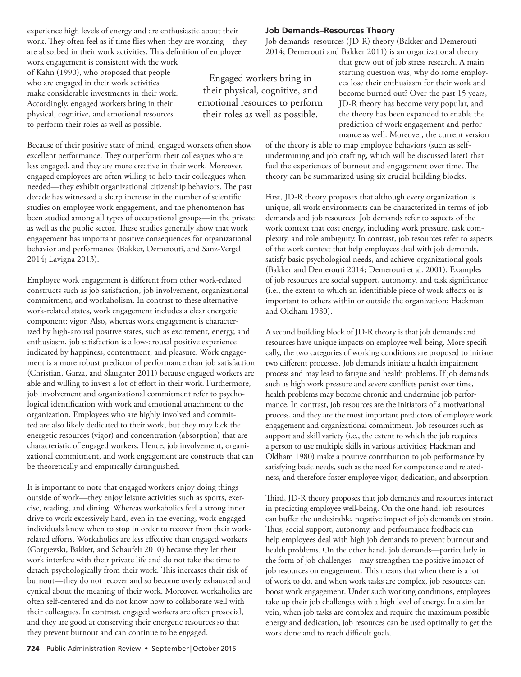experience high levels of energy and are enthusiastic about their work. They often feel as if time flies when they are working—they are absorbed in their work activities. This definition of employee

work engagement is consistent with the work of Kahn (1990), who proposed that people who are engaged in their work activities make considerable investments in their work. Accordingly, engaged workers bring in their physical, cognitive, and emotional resources to perform their roles as well as possible.

Because of their positive state of mind, engaged workers often show excellent performance. They outperform their colleagues who are less engaged, and they are more creative in their work. Moreover, engaged employees are often willing to help their colleagues when needed—they exhibit organizational citizenship behaviors. The past decade has witnessed a sharp increase in the number of scientific studies on employee work engagement, and the phenomenon has been studied among all types of occupational groups—in the private as well as the public sector. These studies generally show that work engagement has important positive consequences for organizational behavior and performance (Bakker, Demerouti, and Sanz-Vergel 2014; Lavigna 2013).

Employee work engagement is different from other work-related constructs such as job satisfaction, job involvement, organizational commitment, and workaholism. In contrast to these alternative work-related states, work engagement includes a clear energetic component: vigor. Also, whereas work engagement is characterized by high-arousal positive states, such as excitement, energy, and enthusiasm, job satisfaction is a low-arousal positive experience indicated by happiness, contentment, and pleasure. Work engagement is a more robust predictor of performance than job satisfaction (Christian, Garza, and Slaughter 2011) because engaged workers are able and willing to invest a lot of effort in their work. Furthermore, job involvement and organizational commitment refer to psychological identification with work and emotional attachment to the organization. Employees who are highly involved and committed are also likely dedicated to their work, but they may lack the energetic resources (vigor) and concentration (absorption) that are characteristic of engaged workers. Hence, job involvement, organizational commitment, and work engagement are constructs that can be theoretically and empirically distinguished.

It is important to note that engaged workers enjoy doing things outside of work—they enjoy leisure activities such as sports, exercise, reading, and dining. Whereas workaholics feel a strong inner drive to work excessively hard, even in the evening, work-engaged individuals know when to stop in order to recover from their workrelated efforts. Workaholics are less effective than engaged workers (Gorgievski, Bakker, and Schaufeli 2010) because they let their work interfere with their private life and do not take the time to detach psychologically from their work. This increases their risk of burnout—they do not recover and so become overly exhausted and cynical about the meaning of their work. Moreover, workaholics are often self-centered and do not know how to collaborate well with their colleagues. In contrast, engaged workers are often prosocial, and they are good at conserving their energetic resources so that they prevent burnout and can continue to be engaged.

# **Job Demands–Resources Theory**

Job demands–resources (JD-R) theory (Bakker and Demerouti 2014; Demerouti and Bakker 2011) is an organizational theory

Engaged workers bring in their physical, cognitive, and emotional resources to perform their roles as well as possible.

that grew out of job stress research. A main starting question was, why do some employees lose their enthusiasm for their work and become burned out? Over the past 15 years, JD-R theory has become very popular, and the theory has been expanded to enable the prediction of work engagement and performance as well. Moreover, the current version

of the theory is able to map employee behaviors (such as selfundermining and job crafting, which will be discussed later) that fuel the experiences of burnout and engagement over time. The theory can be summarized using six crucial building blocks.

First, JD-R theory proposes that although every organization is unique, all work environments can be characterized in terms of job demands and job resources. Job demands refer to aspects of the work context that cost energy, including work pressure, task complexity, and role ambiguity. In contrast, job resources refer to aspects of the work context that help employees deal with job demands, satisfy basic psychological needs, and achieve organizational goals (Bakker and Demerouti 2014; Demerouti et al. 2001). Examples of job resources are social support, autonomy, and task significance (i.e., the extent to which an identifiable piece of work affects or is important to others within or outside the organization; Hackman and Oldham 1980).

A second building block of JD-R theory is that job demands and resources have unique impacts on employee well-being. More specifically, the two categories of working conditions are proposed to initiate two different processes. Job demands initiate a health impairment process and may lead to fatigue and health problems. If job demands such as high work pressure and severe conflicts persist over time, health problems may become chronic and undermine job performance. In contrast, job resources are the initiators of a motivational process, and they are the most important predictors of employee work engagement and organizational commitment. Job resources such as support and skill variety (i.e., the extent to which the job requires a person to use multiple skills in various activities; Hackman and Oldham 1980) make a positive contribution to job performance by satisfying basic needs, such as the need for competence and relatedness, and therefore foster employee vigor, dedication, and absorption.

Third, JD-R theory proposes that job demands and resources interact in predicting employee well-being. On the one hand, job resources can buffer the undesirable, negative impact of job demands on strain. Thus, social support, autonomy, and performance feedback can help employees deal with high job demands to prevent burnout and health problems. On the other hand, job demands—particularly in the form of job challenges—may strengthen the positive impact of job resources on engagement. This means that when there is a lot of work to do, and when work tasks are complex, job resources can boost work engagement. Under such working conditions, employees take up their job challenges with a high level of energy. In a similar vein, when job tasks are complex and require the maximum possible energy and dedication, job resources can be used optimally to get the work done and to reach difficult goals.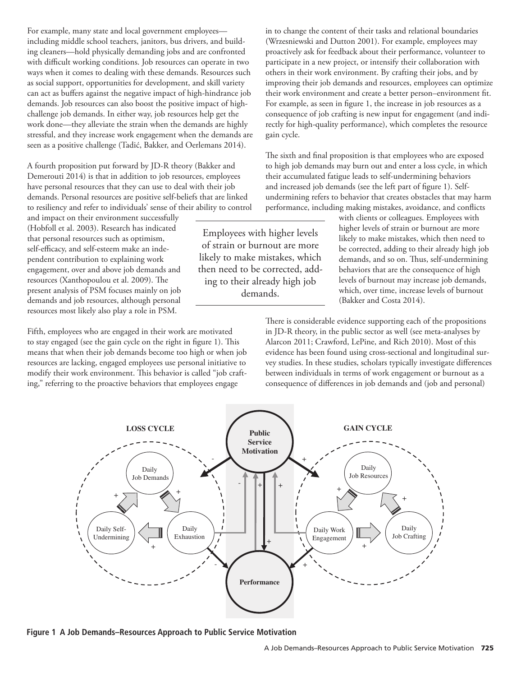For example, many state and local government employees including middle school teachers, janitors, bus drivers, and building cleaners—hold physically demanding jobs and are confronted with difficult working conditions. Job resources can operate in two ways when it comes to dealing with these demands. Resources such as social support, opportunities for development, and skill variety can act as buffers against the negative impact of high-hindrance job demands. Job resources can also boost the positive impact of highchallenge job demands. In either way, job resources help get the work done—they alleviate the strain when the demands are highly stressful, and they increase work engagement when the demands are seen as a positive challenge (Tadić, Bakker, and Oerlemans 2014).

A fourth proposition put forward by JD-R theory (Bakker and Demerouti 2014) is that in addition to job resources, employees have personal resources that they can use to deal with their job demands. Personal resources are positive self-beliefs that are linked to resiliency and refer to individuals' sense of their ability to control

and impact on their environment successfully (Hobfoll et al. 2003). Research has indicated that personal resources such as optimism, self-efficacy, and self-esteem make an independent contribution to explaining work engagement, over and above job demands and resources (Xanthopoulou et al. 2009). The present analysis of PSM focuses mainly on job demands and job resources, although personal resources most likely also play a role in PSM.

Fifth, employees who are engaged in their work are motivated to stay engaged (see the gain cycle on the right in figure 1). This means that when their job demands become too high or when job resources are lacking, engaged employees use personal initiative to modify their work environment. This behavior is called "job crafting," referring to the proactive behaviors that employees engage

Employees with higher levels of strain or burnout are more likely to make mistakes, which then need to be corrected, adding to their already high job demands.

in to change the content of their tasks and relational boundaries (Wrzesniewski and Dutton 2001). For example, employees may proactively ask for feedback about their performance, volunteer to participate in a new project, or intensify their collaboration with others in their work environment. By crafting their jobs, and by improving their job demands and resources, employees can optimize their work environment and create a better person-environment fit. For example, as seen in figure 1, the increase in job resources as a consequence of job crafting is new input for engagement (and indirectly for high-quality performance), which completes the resource gain cycle.

The sixth and final proposition is that employees who are exposed to high job demands may burn out and enter a loss cycle, in which their accumulated fatigue leads to self-undermining behaviors and increased job demands (see the left part of figure 1). Selfundermining refers to behavior that creates obstacles that may harm performance, including making mistakes, avoidance, and conflicts

> with clients or colleagues. Employees with higher levels of strain or burnout are more likely to make mistakes, which then need to be corrected, adding to their already high job demands, and so on. Thus, self-undermining behaviors that are the consequence of high levels of burnout may increase job demands, which, over time, increase levels of burnout (Bakker and Costa 2014).

There is considerable evidence supporting each of the propositions in JD-R theory, in the public sector as well (see meta-analyses by Alarcon 2011; Crawford, LePine, and Rich 2010). Most of this evidence has been found using cross-sectional and longitudinal survey studies. In these studies, scholars typically investigate differences between individuals in terms of work engagement or burnout as a consequence of differences in job demands and (job and personal)



**Figure 1 A Job Demands–Resources Approach to Public Service Motivation**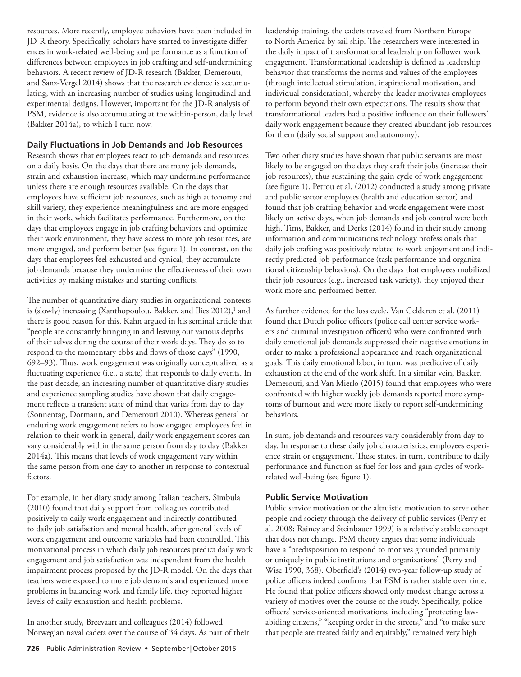resources. More recently, employee behaviors have been included in JD-R theory. Specifically, scholars have started to investigate differences in work-related well-being and performance as a function of differences between employees in job crafting and self-undermining behaviors. A recent review of JD-R research (Bakker, Demerouti, and Sanz-Vergel 2014) shows that the research evidence is accumulating, with an increasing number of studies using longitudinal and experimental designs. However, important for the JD-R analysis of PSM, evidence is also accumulating at the within-person, daily level (Bakker 2014a), to which I turn now.

## **Daily Fluctuations in Job Demands and Job Resources**

Research shows that employees react to job demands and resources on a daily basis. On the days that there are many job demands, strain and exhaustion increase, which may undermine performance unless there are enough resources available. On the days that employees have sufficient job resources, such as high autonomy and skill variety, they experience meaningfulness and are more engaged in their work, which facilitates performance. Furthermore, on the days that employees engage in job crafting behaviors and optimize their work environment, they have access to more job resources, are more engaged, and perform better (see figure 1). In contrast, on the days that employees feel exhausted and cynical, they accumulate job demands because they undermine the effectiveness of their own activities by making mistakes and starting conflicts.

The number of quantitative diary studies in organizational contexts is (slowly) increasing (Xanthopoulou, Bakker, and Ilies 2012),<sup>1</sup> and there is good reason for this. Kahn argued in his seminal article that "people are constantly bringing in and leaving out various depths of their selves during the course of their work days. They do so to respond to the momentary ebbs and flows of those days" (1990, 692–93). Thus, work engagement was originally conceptualized as a fluctuating experience (i.e., a state) that responds to daily events. In the past decade, an increasing number of quantitative diary studies and experience sampling studies have shown that daily engagement reflects a transient state of mind that varies from day to day (Sonnentag, Dormann, and Demerouti 2010). Whereas general or enduring work engagement refers to how engaged employees feel in relation to their work in general, daily work engagement scores can vary considerably within the same person from day to day (Bakker 2014a). This means that levels of work engagement vary within the same person from one day to another in response to contextual factors.

For example, in her diary study among Italian teachers, Simbula (2010) found that daily support from colleagues contributed positively to daily work engagement and indirectly contributed to daily job satisfaction and mental health, after general levels of work engagement and outcome variables had been controlled. This motivational process in which daily job resources predict daily work engagement and job satisfaction was independent from the health impairment process proposed by the JD-R model. On the days that teachers were exposed to more job demands and experienced more problems in balancing work and family life, they reported higher levels of daily exhaustion and health problems.

In another study, Breevaart and colleagues (2014) followed Norwegian naval cadets over the course of 34 days. As part of their leadership training, the cadets traveled from Northern Europe to North America by sail ship. The researchers were interested in the daily impact of transformational leadership on follower work engagement. Transformational leadership is defined as leadership behavior that transforms the norms and values of the employees (through intellectual stimulation, inspirational motivation, and individual consideration), whereby the leader motivates employees to perform beyond their own expectations. The results show that transformational leaders had a positive influence on their followers' daily work engagement because they created abundant job resources for them (daily social support and autonomy).

Two other diary studies have shown that public servants are most likely to be engaged on the days they craft their jobs (increase their job resources), thus sustaining the gain cycle of work engagement (see figure 1). Petrou et al. (2012) conducted a study among private and public sector employees (health and education sector) and found that job crafting behavior and work engagement were most likely on active days, when job demands and job control were both high. Tims, Bakker, and Derks (2014) found in their study among information and communications technology professionals that daily job crafting was positively related to work enjoyment and indirectly predicted job performance (task performance and organizational citizenship behaviors). On the days that employees mobilized their job resources (e.g., increased task variety), they enjoyed their work more and performed better.

As further evidence for the loss cycle, Van Gelderen et al. (2011) found that Dutch police officers (police call center service workers and criminal investigation officers) who were confronted with daily emotional job demands suppressed their negative emotions in order to make a professional appearance and reach organizational goals. This daily emotional labor, in turn, was predictive of daily exhaustion at the end of the work shift. In a similar vein, Bakker, Demerouti, and Van Mierlo (2015) found that employees who were confronted with higher weekly job demands reported more symptoms of burnout and were more likely to report self-undermining behaviors.

In sum, job demands and resources vary considerably from day to day. In response to these daily job characteristics, employees experience strain or engagement. These states, in turn, contribute to daily performance and function as fuel for loss and gain cycles of workrelated well-being (see figure 1).

# **Public Service Motivation**

Public service motivation or the altruistic motivation to serve other people and society through the delivery of public services (Perry et al. 2008; Rainey and Steinbauer 1999) is a relatively stable concept that does not change. PSM theory argues that some individuals have a "predisposition to respond to motives grounded primarily or uniquely in public institutions and organizations" (Perry and Wise 1990, 368). Oberfield's (2014) two-year follow-up study of police officers indeed confirms that PSM is rather stable over time. He found that police officers showed only modest change across a variety of motives over the course of the study. Specifically, police officers' service-oriented motivations, including "protecting lawabiding citizens," "keeping order in the streets," and "to make sure that people are treated fairly and equitably," remained very high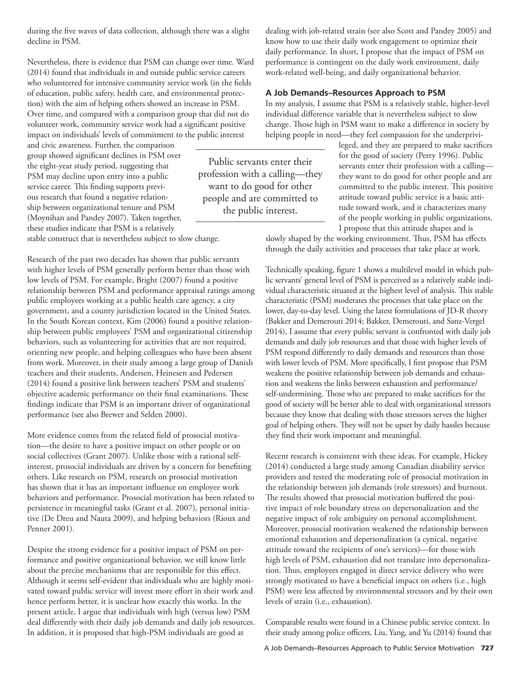during the five waves of data collection, although there was a slight decline in PSM.

Nevertheless, there is evidence that PSM can change over time. Ward (2014) found that individuals in and outside public service careers who volunteered for intensive community service work (in the fields of education, public safety, health care, and environmental protection) with the aim of helping others showed an increase in PSM. Over time, and compared with a comparison group that did not do volunteer work, community service work had a significant positive impact on individuals' levels of commitment to the public interest

and civic awareness. Further, the comparison group showed significant declines in PSM over the eight-year study period, suggesting that PSM may decline upon entry into a public service career. This finding supports previous research that found a negative relationship between organizational tenure and PSM (Moynihan and Pandey 2007). Taken together, these studies indicate that PSM is a relatively

stable construct that is nevertheless subject to slow change.

Research of the past two decades has shown that public servants with higher levels of PSM generally perform better than those with low levels of PSM. For example, Bright (2007) found a positive relationship between PSM and performance appraisal ratings among public employees working at a public health care agency, a city government, and a county jurisdiction located in the United States. In the South Korean context, Kim (2006) found a positive relationship between public employees' PSM and organizational citizenship behaviors, such as volunteering for activities that are not required, orienting new people, and helping colleagues who have been absent from work. Moreover, in their study among a large group of Danish teachers and their students, Andersen, Heinesen and Pedersen (2014) found a positive link between teachers' PSM and students' objective academic performance on their final examinations. These findings indicate that PSM is an important driver of organizational performance (see also Brewer and Selden 2000).

More evidence comes from the related field of prosocial motivation—the desire to have a positive impact on other people or on social collectives (Grant 2007). Unlike those with a rational selfinterest, prosocial individuals are driven by a concern for benefiting others. Like research on PSM, research on prosocial motivation has shown that it has an important influence on employee work behaviors and performance. Prosocial motivation has been related to persistence in meaningful tasks (Grant et al. 2007), personal initiative (De Dreu and Nauta 2009), and helping behaviors (Rioux and Penner 2001).

Despite the strong evidence for a positive impact of PSM on performance and positive organizational behavior, we still know little about the precise mechanisms that are responsible for this effect. Although it seems self-evident that individuals who are highly motivated toward public service will invest more effort in their work and hence perform better, it is unclear how exactly this works. In the present article, I argue that individuals with high (versus low) PSM deal differently with their daily job demands and daily job resources. In addition, it is proposed that high-PSM individuals are good at

dealing with job-related strain (see also Scott and Pandey 2005) and know how to use their daily work engagement to optimize their daily performance. In short, I propose that the impact of PSM on performance is contingent on the daily work environment, daily work-related well-being, and daily organizational behavior.

# **A Job Demands–Resources Approach to PSM**

In my analysis, I assume that PSM is a relatively stable, higher-level individual difference variable that is nevertheless subject to slow change. Those high in PSM want to make a difference in society by helping people in need—they feel compassion for the underprivi-

leged, and they are prepared to make sacrifices for the good of society (Perry 1996). Public servants enter their profession with a calling they want to do good for other people and are committed to the public interest. This positive attitude toward public service is a basic attitude toward work, and it characterizes many of the people working in public organizations. I propose that this attitude shapes and is

slowly shaped by the working environment. Thus, PSM has effects through the daily activities and processes that take place at work.

Technically speaking, figure 1 shows a multilevel model in which public servants' general level of PSM is perceived as a relatively stable individual characteristic situated at the highest level of analysis. This stable characteristic (PSM) moderates the processes that take place on the lower, day-to-day level. Using the latest formulations of JD-R theory (Bakker and Demerouti 2014; Bakker, Demerouti, and Sanz-Vergel 2014), I assume that every public servant is confronted with daily job demands and daily job resources and that those with higher levels of PSM respond differently to daily demands and resources than those with lower levels of PSM. More specifically, I first propose that PSM weakens the positive relationship between job demands and exhaustion and weakens the links between exhaustion and performance/ self-undermining. Those who are prepared to make sacrifices for the good of society will be better able to deal with organizational stressors because they know that dealing with those stressors serves the higher goal of helping others. They will not be upset by daily hassles because they find their work important and meaningful.

Recent research is consistent with these ideas. For example, Hickey (2014) conducted a large study among Canadian disability service providers and tested the moderating role of prosocial motivation in the relationship between job demands (role stressors) and burnout. The results showed that prosocial motivation buffered the positive impact of role boundary stress on depersonalization and the negative impact of role ambiguity on personal accomplishment. Moreover, prosocial motivation weakened the relationship between emotional exhaustion and depersonalization (a cynical, negative attitude toward the recipients of one's services)—for those with high levels of PSM, exhaustion did not translate into depersonalization. Thus, employees engaged in direct service delivery who were strongly motivated to have a beneficial impact on others (i.e., high PSM) were less affected by environmental stressors and by their own levels of strain (i.e., exhaustion).

Comparable results were found in a Chinese public service context. In their study among police officers, Liu, Yang, and Yu (2014) found that

Public servants enter their profession with a calling—they want to do good for other people and are committed to the public interest.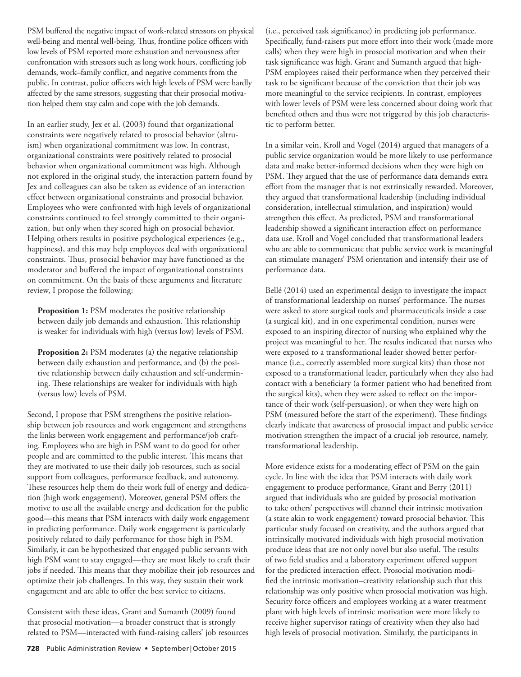PSM buffered the negative impact of work-related stressors on physical well-being and mental well-being. Thus, frontline police officers with low levels of PSM reported more exhaustion and nervousness after confrontation with stressors such as long work hours, conflicting job demands, work–family conflict, and negative comments from the public. In contrast, police officers with high levels of PSM were hardly affected by the same stressors, suggesting that their prosocial motivation helped them stay calm and cope with the job demands.

In an earlier study, Jex et al. (2003) found that organizational constraints were negatively related to prosocial behavior (altruism) when organizational commitment was low. In contrast, organizational constraints were positively related to prosocial behavior when organizational commitment was high. Although not explored in the original study, the interaction pattern found by Jex and colleagues can also be taken as evidence of an interaction effect between organizational constraints and prosocial behavior. Employees who were confronted with high levels of organizational constraints continued to feel strongly committed to their organization, but only when they scored high on prosocial behavior. Helping others results in positive psychological experiences (e.g., happiness), and this may help employees deal with organizational constraints. Thus, prosocial behavior may have functioned as the moderator and buffered the impact of organizational constraints on commitment. On the basis of these arguments and literature review, I propose the following:

**Proposition 1:** PSM moderates the positive relationship between daily job demands and exhaustion. This relationship is weaker for individuals with high (versus low) levels of PSM.

**Proposition 2:** PSM moderates (a) the negative relationship between daily exhaustion and performance, and (b) the positive relationship between daily exhaustion and self-undermining. These relationships are weaker for individuals with high (versus low) levels of PSM.

Second, I propose that PSM strengthens the positive relationship between job resources and work engagement and strengthens the links between work engagement and performance/job crafting. Employees who are high in PSM want to do good for other people and are committed to the public interest. This means that they are motivated to use their daily job resources, such as social support from colleagues, performance feedback, and autonomy. These resources help them do their work full of energy and dedication (high work engagement). Moreover, general PSM offers the motive to use all the available energy and dedication for the public good—this means that PSM interacts with daily work engagement in predicting performance. Daily work engagement is particularly positively related to daily performance for those high in PSM. Similarly, it can be hypothesized that engaged public servants with high PSM want to stay engaged—they are most likely to craft their jobs if needed. This means that they mobilize their job resources and optimize their job challenges. In this way, they sustain their work engagement and are able to offer the best service to citizens.

Consistent with these ideas, Grant and Sumanth (2009) found that prosocial motivation—a broader construct that is strongly related to PSM—interacted with fund-raising callers' job resources (i.e., perceived task significance) in predicting job performance. Specifically, fund-raisers put more effort into their work (made more calls) when they were high in prosocial motivation and when their task significance was high. Grant and Sumanth argued that high-PSM employees raised their performance when they perceived their task to be significant because of the conviction that their job was more meaningful to the service recipients. In contrast, employees with lower levels of PSM were less concerned about doing work that benefited others and thus were not triggered by this job characteristic to perform better.

In a similar vein, Kroll and Vogel (2014) argued that managers of a public service organization would be more likely to use performance data and make better-informed decisions when they were high on PSM. They argued that the use of performance data demands extra effort from the manager that is not extrinsically rewarded. Moreover, they argued that transformational leadership (including individual consideration, intellectual stimulation, and inspiration) would strengthen this effect. As predicted, PSM and transformational leadership showed a significant interaction effect on performance data use. Kroll and Vogel concluded that transformational leaders who are able to communicate that public service work is meaningful can stimulate managers' PSM orientation and intensify their use of performance data.

Bellé (2014) used an experimental design to investigate the impact of transformational leadership on nurses' performance. The nurses were asked to store surgical tools and pharmaceuticals inside a case (a surgical kit), and in one experimental condition, nurses were exposed to an inspiring director of nursing who explained why the project was meaningful to her. The results indicated that nurses who were exposed to a transformational leader showed better performance (i.e., correctly assembled more surgical kits) than those not exposed to a transformational leader, particularly when they also had contact with a beneficiary (a former patient who had benefited from the surgical kits), when they were asked to reflect on the importance of their work (self-persuasion), or when they were high on PSM (measured before the start of the experiment). These findings clearly indicate that awareness of prosocial impact and public service motivation strengthen the impact of a crucial job resource, namely, transformational leadership.

More evidence exists for a moderating effect of PSM on the gain cycle. In line with the idea that PSM interacts with daily work engagement to produce performance, Grant and Berry (2011) argued that individuals who are guided by prosocial motivation to take others' perspectives will channel their intrinsic motivation (a state akin to work engagement) toward prosocial behavior. This particular study focused on creativity, and the authors argued that intrinsically motivated individuals with high prosocial motivation produce ideas that are not only novel but also useful. The results of two field studies and a laboratory experiment offered support for the predicted interaction effect. Prosocial motivation modified the intrinsic motivation–creativity relationship such that this relationship was only positive when prosocial motivation was high. Security force officers and employees working at a water treatment plant with high levels of intrinsic motivation were more likely to receive higher supervisor ratings of creativity when they also had high levels of prosocial motivation. Similarly, the participants in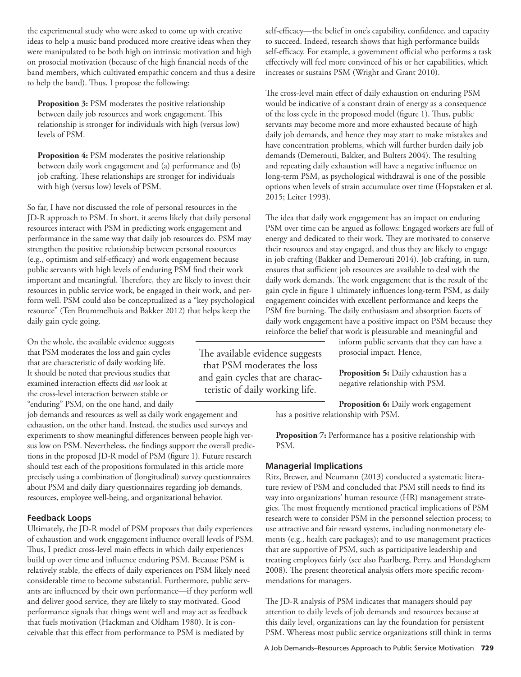the experimental study who were asked to come up with creative ideas to help a music band produced more creative ideas when they were manipulated to be both high on intrinsic motivation and high on prosocial motivation (because of the high financial needs of the band members, which cultivated empathic concern and thus a desire to help the band). Thus, I propose the following:

**Proposition 3:** PSM moderates the positive relationship between daily job resources and work engagement. This relationship is stronger for individuals with high (versus low) levels of PSM.

**Proposition 4:** PSM moderates the positive relationship between daily work engagement and (a) performance and (b) job crafting. These relationships are stronger for individuals with high (versus low) levels of PSM.

So far, I have not discussed the role of personal resources in the JD-R approach to PSM. In short, it seems likely that daily personal resources interact with PSM in predicting work engagement and performance in the same way that daily job resources do. PSM may strengthen the positive relationship between personal resources (e.g., optimism and self-efficacy) and work engagement because public servants with high levels of enduring PSM find their work important and meaningful. Therefore, they are likely to invest their resources in public service work, be engaged in their work, and perform well. PSM could also be conceptualized as a "key psychological resource" (Ten Brummelhuis and Bakker 2012) that helps keep the daily gain cycle going.

On the whole, the available evidence suggests that PSM moderates the loss and gain cycles that are characteristic of daily working life. It should be noted that previous studies that examined interaction effects did *not* look at the cross-level interaction between stable or "enduring" PSM, on the one hand, and daily

job demands and resources as well as daily work engagement and exhaustion, on the other hand. Instead, the studies used surveys and experiments to show meaningful differences between people high versus low on PSM. Nevertheless, the findings support the overall predictions in the proposed JD-R model of PSM (figure 1). Future research should test each of the propositions formulated in this article more precisely using a combination of (longitudinal) survey questionnaires about PSM and daily diary questionnaires regarding job demands, resources, employee well-being, and organizational behavior.

## **Feedback Loops**

Ultimately, the JD-R model of PSM proposes that daily experiences of exhaustion and work engagement influence overall levels of PSM. Thus, I predict cross-level main effects in which daily experiences build up over time and influence enduring PSM. Because PSM is relatively stable, the effects of daily experiences on PSM likely need considerable time to become substantial. Furthermore, public servants are influenced by their own performance—if they perform well and deliver good service, they are likely to stay motivated. Good performance signals that things went well and may act as feedback that fuels motivation (Hackman and Oldham 1980). It is conceivable that this effect from performance to PSM is mediated by

The available evidence suggests that PSM moderates the loss and gain cycles that are characteristic of daily working life.

self-efficacy—the belief in one's capability, confidence, and capacity to succeed. Indeed, research shows that high performance builds self-efficacy. For example, a government official who performs a task effectively will feel more convinced of his or her capabilities, which increases or sustains PSM (Wright and Grant 2010).

The cross-level main effect of daily exhaustion on enduring PSM would be indicative of a constant drain of energy as a consequence of the loss cycle in the proposed model (figure 1). Thus, public servants may become more and more exhausted because of high daily job demands, and hence they may start to make mistakes and have concentration problems, which will further burden daily job demands (Demerouti, Bakker, and Bulters 2004). The resulting and repeating daily exhaustion will have a negative influence on long-term PSM, as psychological withdrawal is one of the possible options when levels of strain accumulate over time (Hopstaken et al. 2015; Leiter 1993).

The idea that daily work engagement has an impact on enduring PSM over time can be argued as follows: Engaged workers are full of energy and dedicated to their work. They are motivated to conserve their resources and stay engaged, and thus they are likely to engage in job crafting (Bakker and Demerouti 2014). Job crafting, in turn, ensures that sufficient job resources are available to deal with the daily work demands. The work engagement that is the result of the gain cycle in figure 1 ultimately influences long-term PSM, as daily engagement coincides with excellent performance and keeps the PSM fire burning. The daily enthusiasm and absorption facets of daily work engagement have a positive impact on PSM because they reinforce the belief that work is pleasurable and meaningful and

inform public servants that they can have a prosocial impact. Hence,

**Proposition 5:** Daily exhaustion has a negative relationship with PSM.

**Proposition 6:** Daily work engagement has a positive relationship with PSM.

**Proposition 7:** Performance has a positive relationship with PSM.

# **Managerial Implications**

Ritz, Brewer, and Neumann (2013) conducted a systematic literature review of PSM and concluded that PSM still needs to find its way into organizations' human resource (HR) management strategies. The most frequently mentioned practical implications of PSM research were to consider PSM in the personnel selection process; to use attractive and fair reward systems, including nonmonetary elements (e.g., health care packages); and to use management practices that are supportive of PSM, such as participative leadership and treating employees fairly (see also Paarlberg, Perry, and Hondeghem 2008). The present theoretical analysis offers more specific recommendations for managers.

The JD-R analysis of PSM indicates that managers should pay attention to daily levels of job demands and resources because at this daily level, organizations can lay the foundation for persistent PSM. Whereas most public service organizations still think in terms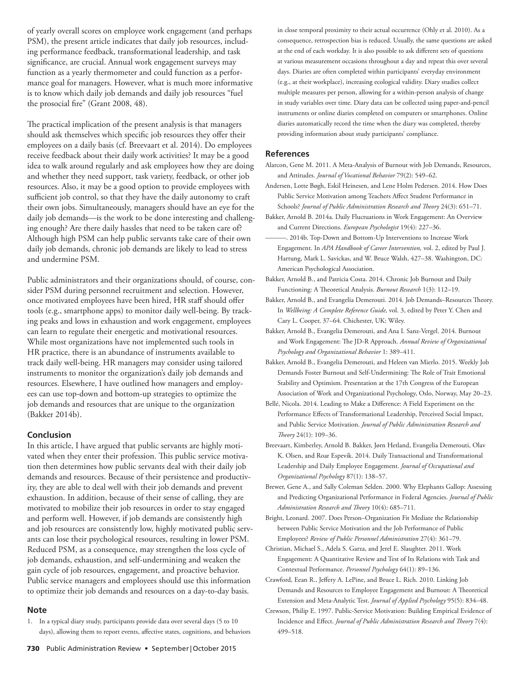of yearly overall scores on employee work engagement (and perhaps PSM), the present article indicates that daily job resources, including performance feedback, transformational leadership, and task significance, are crucial. Annual work engagement surveys may function as a yearly thermometer and could function as a performance goal for managers. However, what is much more informative is to know which daily job demands and daily job resources "fuel the prosocial fire" (Grant 2008, 48).

The practical implication of the present analysis is that managers should ask themselves which specific job resources they offer their employees on a daily basis (cf. Breevaart et al. 2014). Do employees receive feedback about their daily work activities? It may be a good idea to walk around regularly and ask employees how they are doing and whether they need support, task variety, feedback, or other job resources. Also, it may be a good option to provide employees with sufficient job control, so that they have the daily autonomy to craft their own jobs. Simultaneously, managers should have an eye for the daily job demands—is the work to be done interesting and challenging enough? Are there daily hassles that need to be taken care of? Although high PSM can help public servants take care of their own daily job demands, chronic job demands are likely to lead to stress and undermine PSM.

Public administrators and their organizations should, of course, consider PSM during personnel recruitment and selection. However, once motivated employees have been hired, HR staff should offer tools (e.g., smartphone apps) to monitor daily well-being. By tracking peaks and lows in exhaustion and work engagement, employees can learn to regulate their energetic and motivational resources. While most organizations have not implemented such tools in HR practice, there is an abundance of instruments available to track daily well-being. HR managers may consider using tailored instruments to monitor the organization's daily job demands and resources. Elsewhere, I have outlined how managers and employees can use top-down and bottom-up strategies to optimize the job demands and resources that are unique to the organization (Bakker 2014b).

#### **Conclusion**

In this article, I have argued that public servants are highly motivated when they enter their profession. This public service motivation then determines how public servants deal with their daily job demands and resources. Because of their persistence and productivity, they are able to deal well with their job demands and prevent exhaustion. In addition, because of their sense of calling, they are motivated to mobilize their job resources in order to stay engaged and perform well. However, if job demands are consistently high and job resources are consistently low, highly motivated public servants can lose their psychological resources, resulting in lower PSM. Reduced PSM, as a consequence, may strengthen the loss cycle of job demands, exhaustion, and self-undermining and weaken the gain cycle of job resources, engagement, and proactive behavior. Public service managers and employees should use this information to optimize their job demands and resources on a day-to-day basis.

#### **Note**

1. In a typical diary study, participants provide data over several days (5 to 10 days), allowing them to report events, affective states, cognitions, and behaviors in close temporal proximity to their actual occurrence (Ohly et al. 2010). As a consequence, retrospection bias is reduced. Usually, the same questions are asked at the end of each workday. It is also possible to ask different sets of questions at various measurement occasions throughout a day and repeat this over several days. Diaries are often completed within participants' everyday environment (e.g., at their workplace), increasing ecological validity. Diary studies collect multiple measures per person, allowing for a within-person analysis of change in study variables over time. Diary data can be collected using paper-and-pencil instruments or online diaries completed on computers or smartphones. Online diaries automatically record the time when the diary was completed, thereby providing information about study participants' compliance.

#### **References**

Alarcon, Gene M. 2011. A Meta-Analysis of Burnout with Job Demands, Resources, and Attitudes. *Journal of Vocational Behavior* 79(2): 549–62.

Andersen, Lotte Bøgh, Eskil Heinesen, and Lene Holm Pedersen. 2014. How Does Public Service Motivation among Teachers Affect Student Performance in Schools? *Journal of Public Administration Research and Theory* 24(3): 651-71.

- Bakker, Arnold B. 2014a. Daily Fluctuations in Work Engagement: An Overview and Current Directions. *European Psychologist* 19(4): 227–36.
- ———. 2014b. Top-Down and Bottom-Up Interventions to Increase Work Engagement. In *APA Handbook of Career Intervention,* vol. 2, edited by Paul J. Hartung, Mark L. Savickas, and W. Bruce Walsh, 427–38. Washington, DC: American Psychological Association.
- Bakker, Arnold B., and Patricia Costa. 2014. Chronic Job Burnout and Daily Functioning: A Theoretical Analysis. *Burnout Research* 1(3): 112-19.
- Bakker, Arnold B., and Evangelia Demerouti. 2014. Job Demands-Resources Theory. In *Wellbeing: A Complete Reference Guide,* vol. 3, edited by Peter Y. Chen and Cary L. Cooper, 37–64. Chichester, UK: Wiley.
- Bakker, Arnold B., Evangelia Demerouti, and Ana I. Sanz-Vergel. 2014. Burnout and Work Engagement: The JD-R Approach. *Annual Review of Organizational Psychology and Organizational Behavior* 1: 389–411.
- Bakker, Arnold B., Evangelia Demerouti, and Heleen van Mierlo. 2015. Weekly Job Demands Foster Burnout and Self-Undermining: The Role of Trait Emotional Stability and Optimism. Presentation at the 17th Congress of the European Association of Work and Organizational Psychology, Oslo, Norway, May 20–23.
- Bellé, Nicola. 2014. Leading to Make a Difference: A Field Experiment on the Performance Effects of Transformational Leadership, Perceived Social Impact, and Public Service Motivation. *Journal of Public Administration Research and Th eory* 24(1): 109–36.
- Breevaart, Kimberley, Arnold B. Bakker, Jørn Hetland, Evangelia Demerouti, Olav K. Olsen, and Roar Espevik. 2014. Daily Transactional and Transformational Leadership and Daily Employee Engagement. *Journal of Occupational and Organizational Psychology* 87(1): 138–57.

Brewer, Gene A., and Sally Coleman Selden. 2000. Why Elephants Gallop: Assessing and Predicting Organizational Performance in Federal Agencies. *Journal of Public Administration Research and Th eory* 10(4): 685–711.

Bright, Leonard. 2007. Does Person–Organization Fit Mediate the Relationship between Public Service Motivation and the Job Performance of Public Employees? *Review of Public Personnel Administration* 27(4): 361–79.

Christian, Michael S., Adela S. Garza, and Jerel E. Slaughter. 2011. Work Engagement: A Quantitative Review and Test of Its Relations with Task and Contextual Performance. *Personnel Psychology* 64(1): 89–136.

Crawford, Eean R., Jeffery A. LePine, and Bruce L. Rich. 2010. Linking Job Demands and Resources to Employee Engagement and Burnout: A Theoretical Extension and Meta-Analytic Test. *Journal of Applied Psychology* 95(5): 834–48.

Crewson, Philip E. 1997. Public-Service Motivation: Building Empirical Evidence of Incidence and Effect. *Journal of Public Administration Research and Theory* 7(4): 499–518.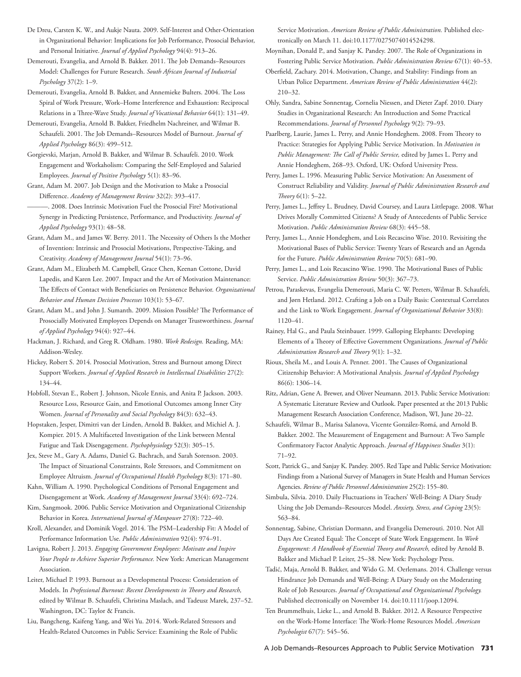De Dreu, Carsten K. W., and Aukje Nauta. 2009. Self-Interest and Other-Orientation in Organizational Behavior: Implications for Job Performance, Prosocial Behavior, and Personal Initiative. *Journal of Applied Psychology* 94(4): 913–26.

Demerouti, Evangelia, and Arnold B. Bakker. 2011. The Job Demands-Resources Model: Challenges for Future Research. *South African Journal of Industrial Psychology* 37(2): 1–9.

Demerouti, Evangelia, Arnold B. Bakker, and Annemieke Bulters. 2004. The Loss Spiral of Work Pressure, Work–Home Interference and Exhaustion: Reciprocal Relations in a Th ree-Wave Study. *Journal of Vocational Behavior* 64(1): 131–49.

Demerouti, Evangelia, Arnold B. Bakker, Friedhelm Nachreiner, and Wilmar B. Schaufeli. 2001. The Job Demands–Resources Model of Burnout. *Journal of Applied Psychology* 86(3): 499–512.

Gorgievski, Marjan, Arnold B. Bakker, and Wilmar B. Schaufeli. 2010. Work Engagement and Workaholism: Comparing the Self-Employed and Salaried Employees. *Journal of Positive Psychology* 5(1): 83–96.

Grant, Adam M. 2007. Job Design and the Motivation to Make a Prosocial Difference. *Academy of Management Review* 32(2): 393-417.

———. 2008. Does Intrinsic Motivation Fuel the Prosocial Fire? Motivational Synergy in Predicting Persistence, Performance, and Productivity. *Journal of Applied Psychology* 93(1): 48–58.

Grant, Adam M., and James W. Berry. 2011. The Necessity of Others Is the Mother of Invention: Intrinsic and Prosocial Motivations, Perspective-Taking, and Creativity. *Academy of Management Journal* 54(1): 73–96.

Grant, Adam M., Elizabeth M. Campbell, Grace Chen, Keenan Cottone, David Lapedis, and Karen Lee. 2007. Impact and the Art of Motivation Maintenance: The Effects of Contact with Beneficiaries on Persistence Behavior. Organizational *Behavior and Human Decision Processes* 103(1): 53–67.

Grant, Adam M., and John J. Sumanth. 2009. Mission Possible? The Performance of Prosocially Motivated Employees Depends on Manager Trustworthiness. *Journal of Applied Psychology* 94(4): 927–44.

Hackman, J. Richard, and Greg R. Oldham. 1980. *Work Redesign.* Reading, MA: Addison-Wesley.

Hickey, Robert S. 2014. Prosocial Motivation, Stress and Burnout among Direct Support Workers. *Journal of Applied Research in Intellectual Disabilities* 27(2): 134–44.

Hobfoll, Stevan E., Robert J. Johnson, Nicole Ennis, and Anita P. Jackson. 2003. Resource Loss, Resource Gain, and Emotional Outcomes among Inner City Women. *Journal of Personality and Social Psychology* 84(3): 632–43.

Hopstaken, Jesper, Dimitri van der Linden, Arnold B. Bakker, and Michiel A. J. Kompier. 2015. A Multifaceted Investigation of the Link between Mental Fatigue and Task Disengagement. *Psychophysiology* 52(3): 305–15.

Jex, Steve M., Gary A. Adams, Daniel G. Bachrach, and Sarah Sorenson. 2003. The Impact of Situational Constraints, Role Stressors, and Commitment on Employee Altruism. *Journal of Occupational Health Psychology* 8(3): 171–80.

Kahn, William A. 1990. Psychological Conditions of Personal Engagement and Disengagement at Work. *Academy of Management Journal* 33(4): 692–724.

Kim, Sangmook. 2006. Public Service Motivation and Organizational Citizenship Behavior in Korea. *International Journal of Manpower* 27(8): 722–40.

Kroll, Alexander, and Dominik Vogel. 2014. The PSM-Leadership Fit: A Model of Performance Information Use. *Public Administration* 92(4): 974–91.

Lavigna, Robert J. 2013. *Engaging Government Employees: Motivate and Inspire Your People to Achieve Superior Performance.* New York: American Management Association.

Leiter, Michael P. 1993. Burnout as a Developmental Process: Consideration of Models. In *Professional Burnout: Recent Developments in Theory and Research*, edited by Wilmar B. Schaufeli, Christina Maslach, and Tadeusz Marek, 237–52. Washington, DC: Taylor & Francis.

Liu, Bangcheng, Kaifeng Yang, and Wei Yu. 2014. Work-Related Stressors and Health-Related Outcomes in Public Service: Examining the Role of Public Service Motivation. *American Review of Public Administration.* Published electronically on March 11. doi:10.1177/0275074014524298.

Moynihan, Donald P., and Sanjay K. Pandey. 2007. The Role of Organizations in Fostering Public Service Motivation. *Public Administration Review* 67(1): 40–53.

Oberfield, Zachary. 2014. Motivation, Change, and Stability: Findings from an Urban Police Department. *American Review of Public Administration* 44(2): 210–32.

Ohly, Sandra, Sabine Sonnentag, Cornelia Niessen, and Dieter Zapf. 2010. Diary Studies in Organizational Research: An Introduction and Some Practical Recommendations. *Journal of Personnel Psychology* 9(2): 79–93.

Paarlberg, Laurie, James L. Perry, and Annie Hondeghem. 2008. From Theory to Practice: Strategies for Applying Public Service Motivation. In *Motivation in*  Public Management: The Call of Public Service, edited by James L. Perry and Annie Hondeghem, 268–93. Oxford, UK: Oxford University Press.

Perry, James L. 1996. Measuring Public Service Motivation: An Assessment of Construct Reliability and Validity. *Journal of Public Administration Research and Th eory* 6(1): 5–22.

Perry, James L., Jeffrey L. Brudney, David Coursey, and Laura Littlepage. 2008. What Drives Morally Committed Citizens? A Study of Antecedents of Public Service Motivation. *Public Administration Review* 68(3): 445–58.

Perry, James L., Annie Hondeghem, and Lois Recascino Wise. 2010. Revisiting the Motivational Bases of Public Service: Twenty Years of Research and an Agenda for the Future. *Public Administration Review* 70(5): 681–90.

Perry, James L., and Lois Recascino Wise. 1990. The Motivational Bases of Public Service. *Public Administration Review* 50(3): 367–73.

Petrou, Paraskevas, Evangelia Demerouti, Maria C. W. Peeters, Wilmar B. Schaufeli, and Jørn Hetland. 2012. Crafting a Job on a Daily Basis: Contextual Correlates and the Link to Work Engagement. *Journal of Organizational Behavior* 33(8): 1120–41.

Rainey, Hal G., and Paula Steinbauer. 1999. Galloping Elephants: Developing Elements of a Theory of Effective Government Organizations. *Journal of Public Administration Research and Th eory* 9(1): 1–32.

Rioux, Sheila M., and Louis A. Penner. 2001. The Causes of Organizational Citizenship Behavior: A Motivational Analysis. *Journal of Applied Psychology*  86(6): 1306–14.

Ritz, Adrian, Gene A. Brewer, and Oliver Neumann. 2013. Public Service Motivation: A Systematic Literature Review and Outlook. Paper presented at the 2013 Public Management Research Association Conference, Madison, WI, June 20–22.

Schaufeli, Wilmar B., Marisa Salanova, Vicente González-Romá, and Arnold B. Bakker. 2002. The Measurement of Engagement and Burnout: A Two Sample Confirmatory Factor Analytic Approach. *Journal of Happiness Studies* 3(1): 71–92.

Scott, Patrick G., and Sanjay K. Pandey. 2005. Red Tape and Public Service Motivation: Findings from a National Survey of Managers in State Health and Human Services Agencies. *Review of Public Personnel Administration* 25(2): 155–80.

Simbula, Silvia. 2010. Daily Fluctuations in Teachers' Well-Being: A Diary Study Using the Job Demands–Resources Model. *Anxiety, Stress, and Coping* 23(5): 563–84.

Sonnentag, Sabine, Christian Dormann, and Evangelia Demerouti. 2010. Not All Days Are Created Equal: The Concept of State Work Engagement. In *Work* Engagement: A Handbook of Essential Theory and Research, edited by Arnold B. Bakker and Michael P. Leiter, 25–38. New York: Psychology Press.

Tadić, Maja, Arnold B. Bakker, and Wido G. M. Oerlemans. 2014. Challenge versus Hindrance Job Demands and Well-Being: A Diary Study on the Moderating Role of Job Resources. *Journal of Occupational and Organizational Psychology.*  Published electronically on November 14. doi:10.1111/joop.12094.

Ten Brummelhuis, Lieke L., and Arnold B. Bakker. 2012. A Resource Perspective on the Work-Home Interface: The Work-Home Resources Model. *American Psychologist* 67(7): 545–56.